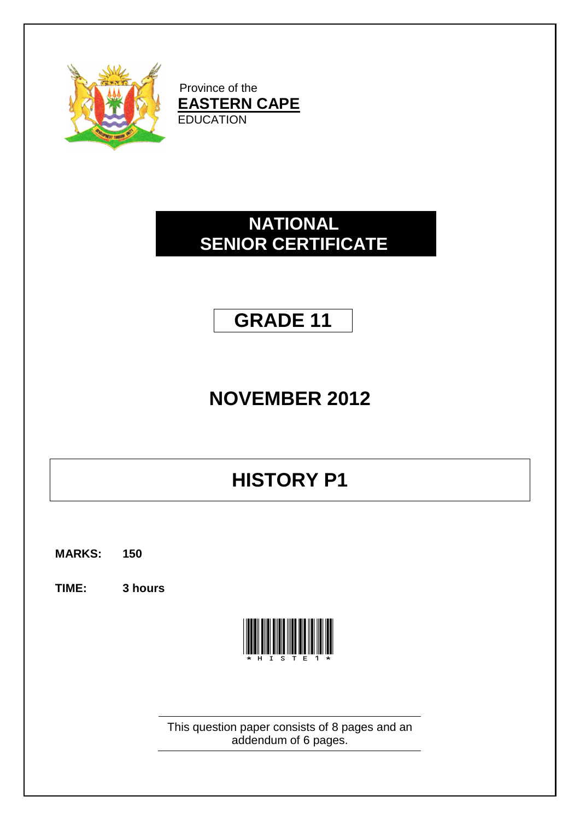

Province of the **EASTERN CAPE EDUCATION** 

## **NATIONAL SENIOR CERTIFICATE**

# **GRADE 11**

# **NOVEMBER 2012**

# **HISTORY P1**

**MARKS: 150**

**TIME: 3 hours**



This question paper consists of 8 pages and an addendum of 6 pages.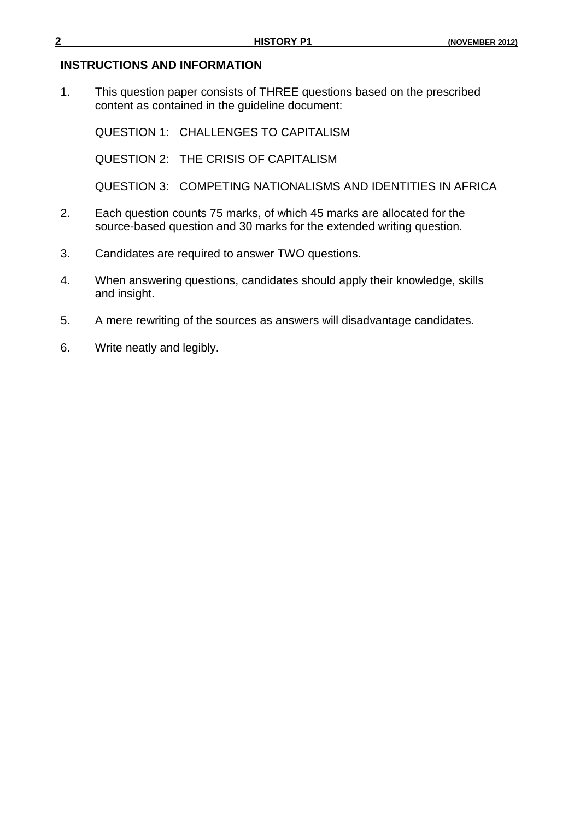#### **INSTRUCTIONS AND INFORMATION**

1. This question paper consists of THREE questions based on the prescribed content as contained in the guideline document:

QUESTION 1: CHALLENGES TO CAPITALISM

QUESTION 2: THE CRISIS OF CAPITALISM

QUESTION 3: COMPETING NATIONALISMS AND IDENTITIES IN AFRICA

- 2. Each question counts 75 marks, of which 45 marks are allocated for the source-based question and 30 marks for the extended writing question.
- 3. Candidates are required to answer TWO questions.
- 4. When answering questions, candidates should apply their knowledge, skills and insight.
- 5. A mere rewriting of the sources as answers will disadvantage candidates.
- 6. Write neatly and legibly.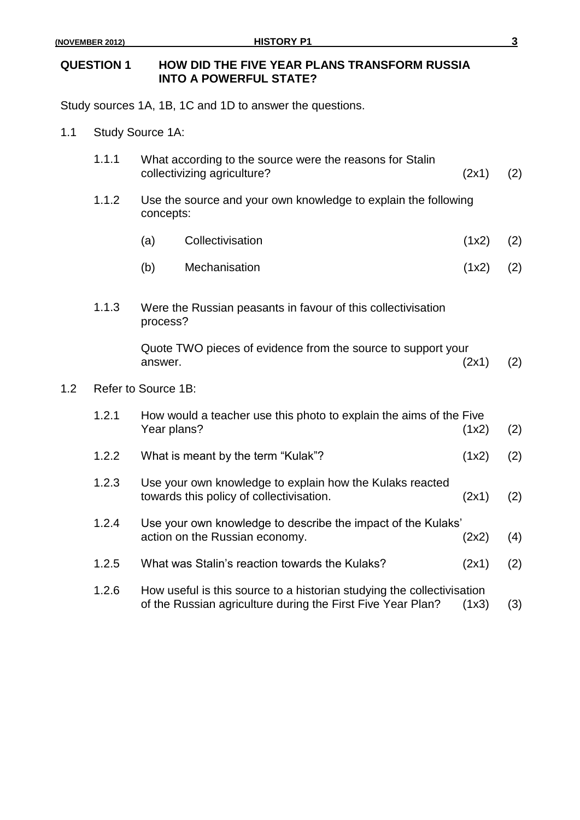$1.2$ 

### **QUESTION 1 HOW DID THE FIVE YEAR PLANS TRANSFORM RUSSIA INTO A POWERFUL STATE?**

Study sources 1A, 1B, 1C and 1D to answer the questions.

1.1 Study Source 1A:

| 1.1.1 | What according to the source were the reasons for Stalin<br>collectivizing agriculture?<br>(2x1)              |                                                                                                                                       |       | (2) |  |
|-------|---------------------------------------------------------------------------------------------------------------|---------------------------------------------------------------------------------------------------------------------------------------|-------|-----|--|
| 1.1.2 | Use the source and your own knowledge to explain the following<br>concepts:                                   |                                                                                                                                       |       |     |  |
|       | (a)                                                                                                           | Collectivisation                                                                                                                      | (1x2) | (2) |  |
|       | (b)                                                                                                           | Mechanisation                                                                                                                         | (1x2) | (2) |  |
| 1.1.3 | Were the Russian peasants in favour of this collectivisation<br>process?                                      |                                                                                                                                       |       |     |  |
|       | answer.                                                                                                       | Quote TWO pieces of evidence from the source to support your                                                                          | (2x1) | (2) |  |
|       | Refer to Source 1B:                                                                                           |                                                                                                                                       |       |     |  |
| 1.2.1 | How would a teacher use this photo to explain the aims of the Five<br>Year plans?<br>(1x2)                    |                                                                                                                                       |       |     |  |
| 1.2.2 |                                                                                                               | What is meant by the term "Kulak"?                                                                                                    | (1x2) | (2) |  |
| 1.2.3 | Use your own knowledge to explain how the Kulaks reacted<br>towards this policy of collectivisation.<br>(2x1) |                                                                                                                                       |       | (2) |  |
| 1.2.4 | Use your own knowledge to describe the impact of the Kulaks'<br>action on the Russian economy.<br>(2x2)       |                                                                                                                                       |       | (4) |  |
| 1.2.5 |                                                                                                               | What was Stalin's reaction towards the Kulaks?                                                                                        | (2x1) | (2) |  |
| 1.2.6 |                                                                                                               | How useful is this source to a historian studying the collectivisation<br>of the Russian agriculture during the First Five Year Plan? | (1x3) | (3) |  |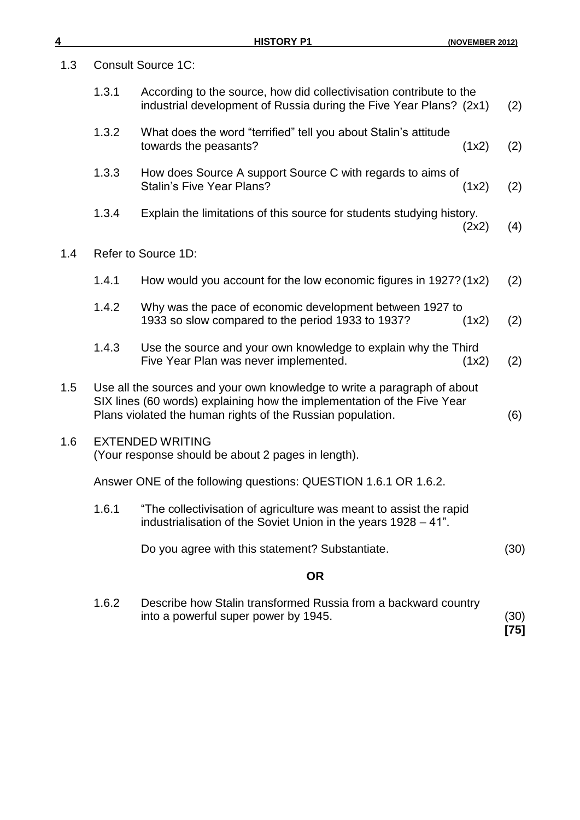| 4   |                                                                                                                                                                                                                   | <b>HISTORY P1</b>                                                                                                                         | (NOVEMBER 2012) |              |
|-----|-------------------------------------------------------------------------------------------------------------------------------------------------------------------------------------------------------------------|-------------------------------------------------------------------------------------------------------------------------------------------|-----------------|--------------|
| 1.3 |                                                                                                                                                                                                                   | <b>Consult Source 1C:</b>                                                                                                                 |                 |              |
|     | 1.3.1                                                                                                                                                                                                             | According to the source, how did collectivisation contribute to the<br>industrial development of Russia during the Five Year Plans? (2x1) |                 | (2)          |
|     | 1.3.2                                                                                                                                                                                                             | What does the word "terrified" tell you about Stalin's attitude<br>towards the peasants?                                                  | (1x2)           | (2)          |
|     | 1.3.3                                                                                                                                                                                                             | How does Source A support Source C with regards to aims of<br><b>Stalin's Five Year Plans?</b>                                            | (1x2)           | (2)          |
|     | 1.3.4                                                                                                                                                                                                             | Explain the limitations of this source for students studying history.                                                                     | (2x2)           | (4)          |
| 1.4 |                                                                                                                                                                                                                   | Refer to Source 1D:                                                                                                                       |                 |              |
|     | 1.4.1                                                                                                                                                                                                             | How would you account for the low economic figures in 1927? (1x2)                                                                         |                 | (2)          |
|     | 1.4.2                                                                                                                                                                                                             | Why was the pace of economic development between 1927 to<br>1933 so slow compared to the period 1933 to 1937?                             | (1x2)           | (2)          |
|     | 1.4.3                                                                                                                                                                                                             | Use the source and your own knowledge to explain why the Third<br>Five Year Plan was never implemented.                                   | (1x2)           | (2)          |
| 1.5 | Use all the sources and your own knowledge to write a paragraph of about<br>SIX lines (60 words) explaining how the implementation of the Five Year<br>Plans violated the human rights of the Russian population. |                                                                                                                                           |                 | (6)          |
| 1.6 |                                                                                                                                                                                                                   | <b>EXTENDED WRITING</b><br>(Your response should be about 2 pages in length).                                                             |                 |              |
|     |                                                                                                                                                                                                                   | Answer ONE of the following questions: QUESTION 1.6.1 OR 1.6.2.                                                                           |                 |              |
|     | 1.6.1                                                                                                                                                                                                             | "The collectivisation of agriculture was meant to assist the rapid<br>industrialisation of the Soviet Union in the years 1928 - 41".      |                 |              |
|     |                                                                                                                                                                                                                   | Do you agree with this statement? Substantiate.                                                                                           |                 | (30)         |
|     |                                                                                                                                                                                                                   | <b>OR</b>                                                                                                                                 |                 |              |
|     | 1.6.2                                                                                                                                                                                                             | Describe how Stalin transformed Russia from a backward country<br>into a powerful super power by 1945.                                    |                 | (30)<br>[75] |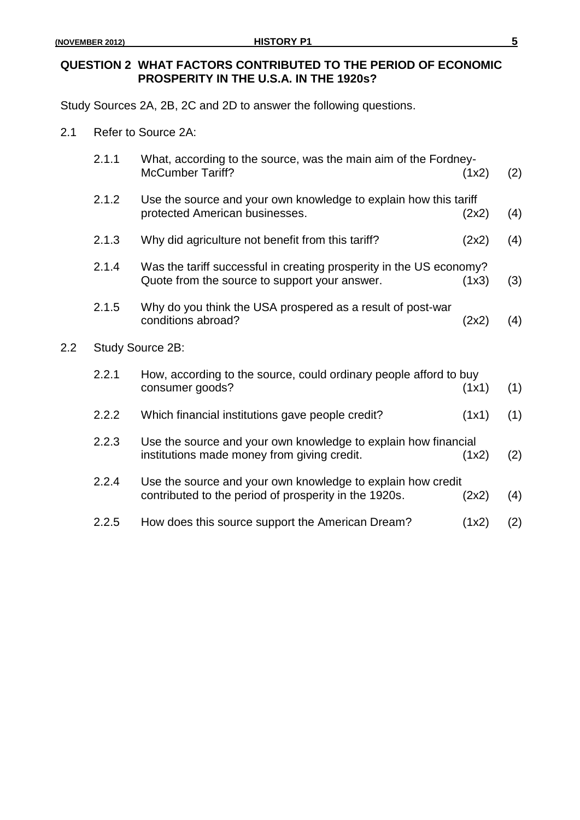$2.2$ 

### **QUESTION 2 WHAT FACTORS CONTRIBUTED TO THE PERIOD OF ECONOMIC PROSPERITY IN THE U.S.A. IN THE 1920s?**

Study Sources 2A, 2B, 2C and 2D to answer the following questions.

2.1 Refer to Source 2A:

| 2.1.1            | What, according to the source, was the main aim of the Fordney-<br><b>McCumber Tariff?</b>                           | (1x2) | (2) |  |  |
|------------------|----------------------------------------------------------------------------------------------------------------------|-------|-----|--|--|
| 2.1.2            | Use the source and your own knowledge to explain how this tariff<br>protected American businesses.                   | (2x2) | (4) |  |  |
| 2.1.3            | Why did agriculture not benefit from this tariff?                                                                    | (2x2) | (4) |  |  |
| 2.1.4            | Was the tariff successful in creating prosperity in the US economy?<br>Quote from the source to support your answer. | (1x3) | (3) |  |  |
| 2.1.5            | Why do you think the USA prospered as a result of post-war<br>conditions abroad?                                     | (2x2) | (4) |  |  |
| Study Source 2B: |                                                                                                                      |       |     |  |  |
| 2.2.1            | How, according to the source, could ordinary people afford to buy<br>consumer goods?                                 | (1x1) | (1) |  |  |
| 2.2.2            | Which financial institutions gave people credit?                                                                     | (1x1) | (1) |  |  |
| 2.2.3            | Use the source and your own knowledge to explain how financial<br>institutions made money from giving credit.        | (1x2) | (2) |  |  |
| 2.2.4            | Use the source and your own knowledge to explain how credit<br>contributed to the period of prosperity in the 1920s. | (2x2) | (4) |  |  |
| 2.2.5            | How does this source support the American Dream?                                                                     | (1x2) | (2) |  |  |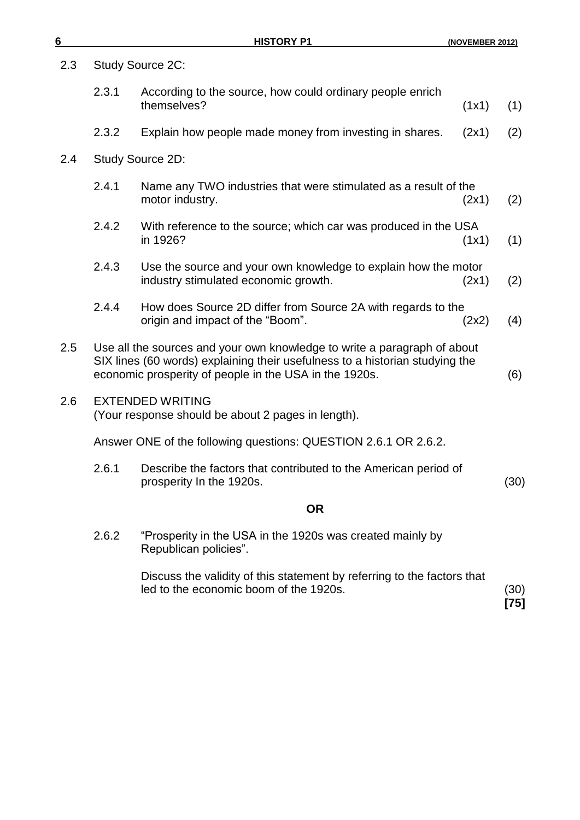|  |  | (NOVEMBER 2012) |  |
|--|--|-----------------|--|
|  |  |                 |  |

| 2.3 | <b>Study Source 2C:</b>                                                                                                                                                                                            |                                                                                                                 |      |  |
|-----|--------------------------------------------------------------------------------------------------------------------------------------------------------------------------------------------------------------------|-----------------------------------------------------------------------------------------------------------------|------|--|
|     | 2.3.1                                                                                                                                                                                                              | According to the source, how could ordinary people enrich<br>themselves?<br>(1x1)                               | (1)  |  |
|     | 2.3.2                                                                                                                                                                                                              | Explain how people made money from investing in shares.<br>(2x1)                                                | (2)  |  |
| 2.4 |                                                                                                                                                                                                                    | Study Source 2D:                                                                                                |      |  |
|     | 2.4.1                                                                                                                                                                                                              | Name any TWO industries that were stimulated as a result of the<br>motor industry.<br>(2x1)                     | (2)  |  |
|     | 2.4.2                                                                                                                                                                                                              | With reference to the source; which car was produced in the USA<br>in 1926?<br>(1x1)                            | (1)  |  |
|     | 2.4.3                                                                                                                                                                                                              | Use the source and your own knowledge to explain how the motor<br>industry stimulated economic growth.<br>(2x1) | (2)  |  |
|     | 2.4.4                                                                                                                                                                                                              | How does Source 2D differ from Source 2A with regards to the<br>origin and impact of the "Boom".<br>(2x2)       | (4)  |  |
| 2.5 | Use all the sources and your own knowledge to write a paragraph of about<br>SIX lines (60 words) explaining their usefulness to a historian studying the<br>economic prosperity of people in the USA in the 1920s. |                                                                                                                 |      |  |
| 2.6 | <b>EXTENDED WRITING</b><br>(Your response should be about 2 pages in length).                                                                                                                                      |                                                                                                                 |      |  |
|     | Answer ONE of the following questions: QUESTION 2.6.1 OR 2.6.2.                                                                                                                                                    |                                                                                                                 |      |  |
|     | 2.6.1                                                                                                                                                                                                              | Describe the factors that contributed to the American period of<br>prosperity In the 1920s.                     | (30) |  |
|     |                                                                                                                                                                                                                    | <b>OR</b>                                                                                                       |      |  |
|     | 2.6.2                                                                                                                                                                                                              | "Prosperity in the USA in the 1920s was created mainly by                                                       |      |  |

Republican policies".

Discuss the validity of this statement by referring to the factors that led to the economic boom of the 1920s. (30) **[75]**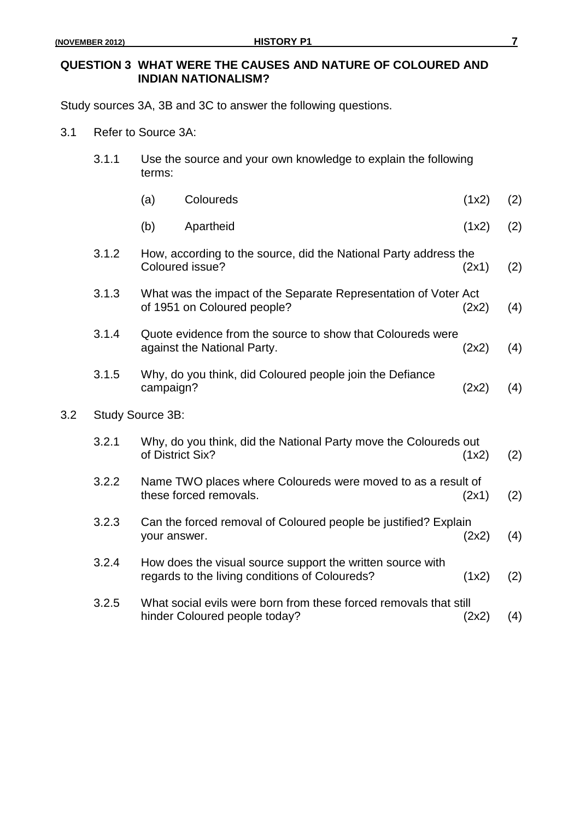$3.2$ 

### **QUESTION 3 WHAT WERE THE CAUSES AND NATURE OF COLOURED AND INDIAN NATIONALISM?**

Study sources 3A, 3B and 3C to answer the following questions.

3.1 Refer to Source 3A:

| 3.1.1<br>Use the source and your own knowledge to explain the following<br>terms: |                  |                                                                                                              |       |     |
|-----------------------------------------------------------------------------------|------------------|--------------------------------------------------------------------------------------------------------------|-------|-----|
|                                                                                   | (a)              | Coloureds                                                                                                    | (1x2) | (2) |
|                                                                                   | (b)              | Apartheid                                                                                                    | (1x2) | (2) |
| 3.1.2                                                                             |                  | How, according to the source, did the National Party address the<br>Coloured issue?                          | (2x1) | (2) |
| 3.1.3                                                                             |                  | What was the impact of the Separate Representation of Voter Act<br>of 1951 on Coloured people?               | (2x2) | (4) |
| 3.1.4                                                                             |                  | Quote evidence from the source to show that Coloureds were<br>against the National Party.                    | (2x2) | (4) |
| 3.1.5                                                                             | campaign?        | Why, do you think, did Coloured people join the Defiance                                                     | (2x2) | (4) |
| Study Source 3B:                                                                  |                  |                                                                                                              |       |     |
| 3.2.1                                                                             | of District Six? | Why, do you think, did the National Party move the Coloureds out                                             | (1x2) | (2) |
| 3.2.2                                                                             |                  | Name TWO places where Coloureds were moved to as a result of<br>these forced removals.                       | (2x1) | (2) |
| 3.2.3                                                                             | your answer.     | Can the forced removal of Coloured people be justified? Explain                                              | (2x2) | (4) |
| 3.2.4                                                                             |                  | How does the visual source support the written source with<br>regards to the living conditions of Coloureds? | (1x2) | (2) |
| 3.2.5                                                                             |                  | What social evils were born from these forced removals that still<br>hinder Coloured people today?           | (2x2) | (4) |